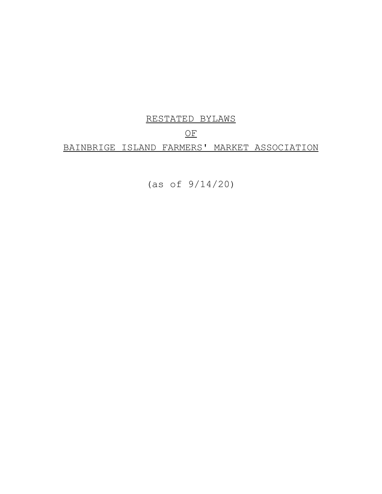# RESTATED BYLAWS

# OF

# BAINBRIGE ISLAND FARMERS' MARKET ASSOCIATION

(as of 9/14/20)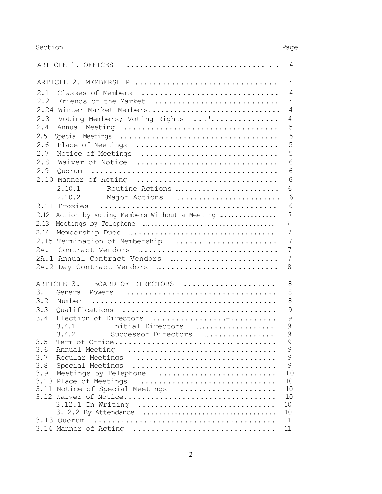Section Page

|      | ARTICLE 1. OFFICES                              | 4              |
|------|-------------------------------------------------|----------------|
|      | ARTICLE 2. MEMBERSHIP                           | 4              |
| 2.1  | Classes of Members                              | 4              |
| 2.2  | Friends of the Market                           | $\overline{4}$ |
|      | 2.24 Winter Market Members                      | 4              |
| 2.3  | Voting Members; Voting Rights '                 | 4              |
| 2.4  | Annual Meeting                                  | 5              |
|      |                                                 |                |
| 2.5  | Special Meetings                                | 5              |
| 2.6  | Place of Meetings                               | 5              |
| 2.7  | Notice of Meetings                              | 5              |
| 2.8  | Waiver of Notice                                | 6              |
| 2.9  |                                                 | 6              |
|      | 2.10 Manner of Acting                           | 6              |
|      | 2.10.1 Routine Actions                          | 6              |
|      | 2.10.2 Major Actions                            | 6              |
|      | 2.11 Proxies                                    | 6              |
|      | 2.12 Action by Voting Members Without a Meeting | 7              |
| 2.13 |                                                 | $\overline{7}$ |
| 2.14 |                                                 | 7              |
|      |                                                 |                |
|      | 2.15 Termination of Membership                  | 7              |
| 2A.  |                                                 | 7              |
|      | 2A.1 Annual Contract Vendors                    | 7              |
|      | 2A.2 Day Contract Vendors                       | 8              |
|      | ARTICLE 3. BOARD OF DIRECTORS                   | 8              |
| 3.1  | General Powers                                  | 8              |
| 3.2  |                                                 | 8              |
| 3.3  | Qualifications                                  | $\mathcal{G}$  |
| 3.4  | Election of Directors                           | 9              |
|      | Initial Directors<br>3.4.1                      | 9              |
|      | 3.4.2<br>Successor Directors                    | 9              |
|      |                                                 | 9              |
| 3.6  | Annual Meeting                                  | 9              |
| 3.7  | Reqular Meetings                                | $\mathsf 9$    |
| 3.8  | Special Meetings                                | 9              |
| 3.9  | Meetings by Telephone                           | 10             |
|      | 3.10 Place of Meetings                          | 10             |
|      | 3.11 Notice of Special Meetings                 | 10             |
|      | 3.12 Waiver of Notice                           | 10             |
|      | 3.12.1 In Writing                               | 10             |
|      | 3.12.2 By Attendance                            | 10             |
|      |                                                 | 11             |
|      | 3.14 Manner of Acting                           | 11             |
|      |                                                 |                |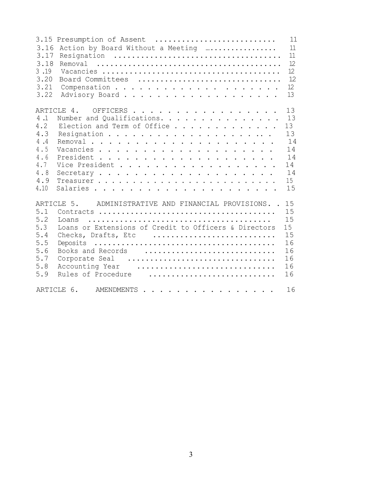| 3.15 Presumption of Assent<br>3.16<br>Action by Board Without a Meeting<br>3.17<br>3.18<br>3.19<br>3.20<br>Board Committees<br>3.21<br>3.22                                                                                                                                                 | 11<br>11<br>11<br>12<br>12<br>12<br>12<br>13 |
|---------------------------------------------------------------------------------------------------------------------------------------------------------------------------------------------------------------------------------------------------------------------------------------------|----------------------------------------------|
| ARTICLE 4. OFFICERS<br>4.1<br>Number and Qualifications. 13<br>4.2<br>Election and Term of Office 13<br>4.3<br>4.4<br>4.5<br>4.6<br>4.7<br>Vice President 14<br>4.8<br>Secretary 14<br>4.9<br>4.10                                                                                          | 13<br>13<br>14<br>15<br>15                   |
| ARTICLE 5. ADMINISTRATIVE AND FINANCIAL PROVISIONS. . 15<br>5.1<br>5.2<br>5.3<br>Loans or Extensions of Credit to Officers & Directors<br>5.4<br>Checks, Drafts, Etc<br>5.5<br>5.6<br>Books and Records  16<br>5.7<br>Corporate Seal<br>5.8<br>Accounting Year<br>5.9<br>Rules of Procedure | 15<br>15<br>15<br>16<br>16<br>16<br>16       |
| ARTICLE 6. AMENDMENTS                                                                                                                                                                                                                                                                       | 16                                           |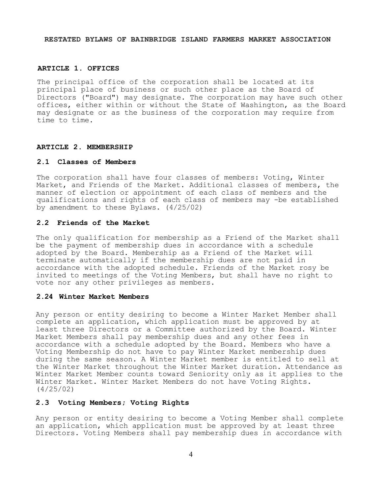**RESTATED BYLAWS OF BAINBRIDGE ISLAND FARMERS MARKET ASSOCIATION**

## **ARTICLE 1. OFFICES**

The principal office of the corporation shall be located at its principal place of business or such other place as the Board of Directors ("Board") may designate. The corporation may have such other offices, either within or without the State of Washington, as the Board may designate or as the business of the corporation may require from time to time.

## **ARTICLE 2. MEMBERSHIP**

### **2.1 Classes of Members**

The corporation shall have four classes of members: Voting, Winter Market, and Friends of the Market. Additional classes of members, the manner of election or appointment of each class of members and the qualifications and rights of each class of members may -be established by amendment to these Bylaws. (4/25/02)

## **2.2 Friends of the Market**

The only qualification for membership as a Friend of the Market shall be the payment of membership dues in accordance with a schedule adopted by the Board. Membership as a Friend of the Market will terminate automatically if the membership dues are not paid in accordance with the adopted schedule. Friends of the Market rosy be invited to meetings of the Voting Members, but shall have no right to vote nor any other privileges as members.

## **2.24 Winter Market Members**

Any person or entity desiring to become a Winter Market Member shall complete an application, which application must be approved by at least three Directors or a Committee authorized by the Board. Winter Market Members shall pay membership dues and any other fees in accordance with a schedule adopted by the Board. Members who have a Voting Membership do not have to pay Winter Market membership dues during the same season. A Winter Market member is entitled to sell at the Winter Market throughout the Winter Market duration. Attendance as Winter Market Member counts toward Seniority only as it applies to the Winter Market. Winter Market Members do not have Voting Rights. (4/25/02)

#### **2.3 Voting Members; Voting Rights**

Any person or entity desiring to become a Voting Member shall complete an application, which application must be approved by at least three Directors. Voting Members shall pay membership dues in accordance with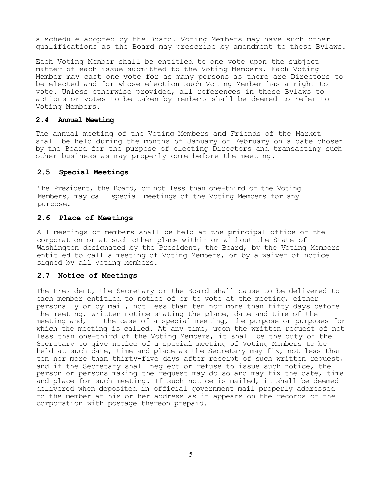a schedule adopted by the Board. Voting Members may have such other qualifications as the Board may prescribe by amendment to these Bylaws.

Each Voting Member shall be entitled to one vote upon the subject matter of each issue submitted to the Voting Members. Each Voting Member may cast one vote for as many persons as there are Directors to be elected and for whose election such Voting Member has a right to vote. Unless otherwise provided, all references in these Bylaws to actions or votes to be taken by members shall be deemed to refer to Voting Members.

## **2.4 Annual Meeting**

The annual meeting of the Voting Members and Friends of the Market shall be held during the months of January or February on a date chosen by the Board for the purpose of electing Directors and transacting such other business as may properly come before the meeting.

#### **2.5 Special Meetings**

The President, the Board, or not less than one-third of the Voting Members, may call special meetings of the Voting Members for any purpose.

### **2.6****Place of Meetings**

All meetings of members shall be held at the principal office of the corporation or at such other place within or without the State of Washington designated by the President, the Board, by the Voting Members entitled to call a meeting of Voting Members, or by a waiver of notice signed by all Voting Members.

#### **2.7 Notice of Meetings**

The President, the Secretary or the Board shall cause to be delivered to each member entitled to notice of or to vote at the meeting, either personally or by mail, not less than ten nor more than fifty days before the meeting, written notice stating the place, date and time of the meeting and, in the case of a special meeting, the purpose or purposes for which the meeting is called. At any time, upon the written request of not less than one-third of the Voting Members, it shall be the duty of the Secretary to give notice of a special meeting of Voting Members to be held at such date, time and place as the Secretary may fix, not less than ten nor more than thirty-five days after receipt of such written request, and if the Secretary shall neglect or refuse to issue such notice, the person or persons making the request may do so and may fix the date, time and place for such meeting. If such notice is mailed, it shall be deemed delivered when deposited in official government mail properly addressed to the member at his or her address as it appears on the records of the corporation with postage thereon prepaid.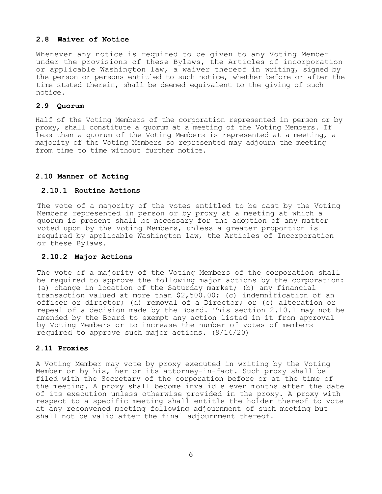## **2.8 Waiver of Notice**

Whenever any notice is required to be given to any Voting Member under the provisions of these Bylaws, the Articles of incorporation or applicable Washington law, a waiver thereof in writing, signed by the person or persons entitled to such notice, whether before or after the time stated therein, shall be deemed equivalent to the giving of such notice.

## **2.9 Quorum**

Half of the Voting Members of the corporation represented in person or by proxy, shall constitute a quorum at a meeting of the Voting Members. If less than a quorum of the Voting Members is represented at a meeting, a majority of the Voting Members so represented may adjourn the meeting from time to time without further notice.

## **2.10 Manner of Acting**

## **2.10.1 Routine Actions**

The vote of a majority of the votes entitled to be cast by the Voting Members represented in person or by proxy at a meeting at which a quorum is present shall be necessary for the adoption of any matter voted upon by the Voting Members, unless a greater proportion is required by applicable Washington law, the Articles of Incorporation or these Bylaws.

## **2.10.2 Major Actions**

The vote of a majority of the Voting Members of the corporation shall be required to approve the following major actions by the corporation: (a) change in location of the Saturday market; (b) any financial transaction valued at more than \$2,500.00; (c) indemnification of an officer or director; (d) removal of a Director; or (e) alteration or repeal of a decision made by the Board. This section 2.10.1 may not be amended by the Board to exempt any action listed in it from approval by Voting Members or to increase the number of votes of members required to approve such major actions. (9/14/20)

## **2.11 Proxies**

A Voting Member may vote by proxy executed in writing by the Voting Member or by his, her or its attorney-in-fact. Such proxy shall be filed with the Secretary of the corporation before or at the time of the meeting. A proxy shall become invalid eleven months after the date of its execution unless otherwise provided in the proxy. A proxy with respect to a specific meeting shall entitle the holder thereof to vote at any reconvened meeting following adjournment of such meeting but shall not be valid after the final adjournment thereof.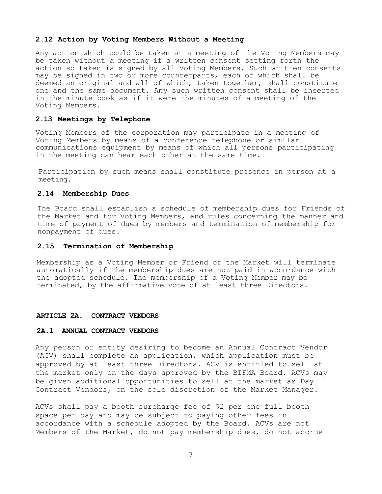#### **2.12 Action by Voting Members Without a Meeting**

Any action which could be taken at a meeting of the Voting Members may be taken without a meeting if a written consent setting forth the action so taken is signed by all Voting Members. Such written consents may be signed in two or more counterparts, each of which shall be deemed an original and all of which, taken together, shall constitute one and the same document. Any such written consent shall be inserted in the minute book as if it were the minutes of a meeting of the Voting Members.

#### **2.13 Meetings by Telephone**

Voting Members of the corporation may participate in a meeting of Voting Members by means of a conference telephone or similar communications equipment by means of which all persons participating in the meeting can hear each other at the same time.

Participation by such means shall constitute presence in person at a meeting.

#### **2.14 Membership Dues**

The Board shall establish a schedule of membership dues for Friends of the Market and for Voting Members, and rules concerning the manner and time of payment of dues by members and termination of membership for nonpayment of dues.

## **2.15 Termination of Membership**

Membership as a Voting Member or Friend of the Market will terminate automatically if the membership dues are not paid in accordance with the adopted schedule. The membership of a Voting Member may be terminated, by the affirmative vote of at least three Directors.

#### **ARTICLE 2A. CONTRACT VENDORS**

#### **2A.1 ANNUAL CONTRACT VENDORS**

Any person or entity desiring to become an Annual Contract Vendor (ACV) shall complete an application, which application must be approved by at least three Directors. ACV is entitled to sell at the market only on the days approved by the BIFMA Board. ACVs may be given additional opportunities to sell at the market as Day Contract Vendors, on the sole discretion of the Market Manager.

ACVs shall pay a booth surcharge fee of \$2 per one full booth space per day and may be subject to paying other fees in accordance with a schedule adopted by the Board. ACVs are not Members of the Market, do not pay membership dues, do not accrue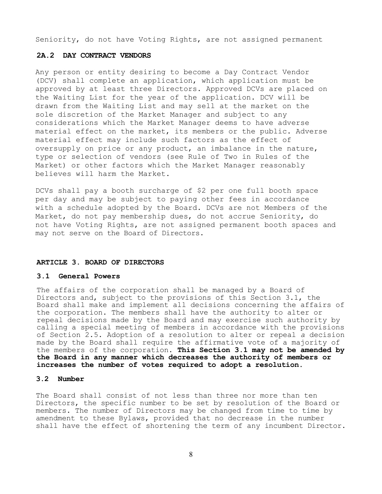Seniority, do not have Voting Rights, are not assigned permanent

## **2A.2 DAY CONTRACT VENDORS**

Any person or entity desiring to become a Day Contract Vendor (DCV) shall complete an application, which application must be approved by at least three Directors. Approved DCVs are placed on the Waiting List for the year of the application. DCV will be drawn from the Waiting List and may sell at the market on the sole discretion of the Market Manager and subject to any considerations which the Market Manager deems to have adverse material effect on the market, its members or the public. Adverse material effect may include such factors as the effect of oversupply on price or any product, an imbalance in the nature, type or selection of vendors (see Rule of Two in Rules of the Market) or other factors which the Market Manager reasonably believes will harm the Market.

DCVs shall pay a booth surcharge of \$2 per one full booth space per day and may be subject to paying other fees in accordance with a schedule adopted by the Board. DCVs are not Members of the Market, do not pay membership dues, do not accrue Seniority, do not have Voting Rights, are not assigned permanent booth spaces and may not serve on the Board of Directors.

#### **ARTICLE 3. BOARD OF DIRECTORS**

#### **3.1 General Powers**

The affairs of the corporation shall be managed by a Board of Directors and, subject to the provisions of this Section 3.1, the Board shall make and implement all decisions concerning the affairs of the corporation. The members shall have the authority to alter or repeal decisions made by the Board and may exercise such authority by calling a special meeting of members in accordance with the provisions of Section 2.5. Adoption of a resolution to alter or repeal *a* decision made by the Board shall require the affirmative vote of a majority of the members of the corporation. **This Section 3.1 may not be amended by the Board in any manner which decreases the authority of members or increases the number of votes required to adopt a resolution.**

## **3.2 Number**

The Board shall consist of not less than three nor more than ten Directors, the specific number to be set by resolution of the Board or members. The number of Directors may be changed from time to time by amendment to these Bylaws, provided that no decrease in the number shall have the effect of shortening the term of any incumbent Director.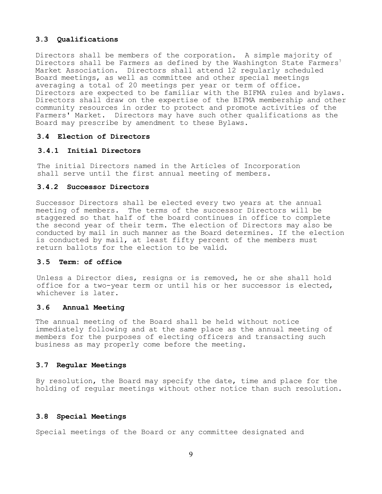## **3.3 Qualifications**

Directors shall be members of the corporation. A simple majority of Directors shall be Farmers as defined by the Washington State Farmers<sup>7</sup> Market Association. Directors shall attend 12 regularly scheduled Board meetings, as well as committee and other special meetings averaging a total of 20 meetings per year or term of office. Directors are expected to be familiar with the BIFMA rules and bylaws. Directors shall draw on the expertise of the BIFMA membership and other community resources in order to protect and promote activities of the Farmers' Market. Directors may have such other qualifications as the Board may prescribe by amendment to these Bylaws.

## **3.4 Election of Directors**

## **3.4.1 Initial Directors**

The initial Directors named in the Articles of Incorporation shall serve until the first annual meeting of members.

## **3.4.2 Successor Directors**

Successor Directors shall be elected every two years at the annual meeting of members. The terms of the successor Directors will be staggered so that half of the board continues in office to complete the second year of their term. The election of Directors may also be conducted by mail in such manner as the Board determines. If the election is conducted by mail, at least fifty percent of the members must return ballots for the election to be valid.

#### **3.5 Term: of office**

Unless a Director dies, resigns or is removed, he or she shall hold office for a two-year term or until his or her successor is elected, whichever is later.

#### **3.6 Annual Meeting**

The annual meeting of the Board shall be held without notice immediately following and at the same place as the annual meeting of members for the purposes of electing officers and transacting such business as may properly come before the meeting.

## **3.7 Regular Meetings**

By resolution, the Board may specify the date, time and place for the holding of regular meetings without other notice than such resolution.

#### **3.8 Special Meetings**

Special meetings of the Board or any committee designated and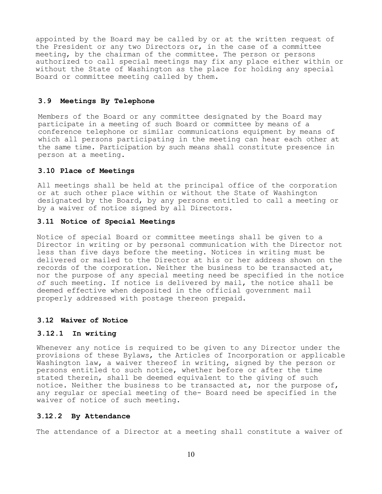appointed by the Board may be called by or at the written request of the President or any two Directors or, in the case of a committee meeting, by the chairman of the committee. The person or persons authorized to call special meetings may fix any place either within or without the State of Washington as the place for holding any special Board or committee meeting called by them.

## **3.9 Meetings By Telephone**

Members of the Board or any committee designated by the Board may participate in a meeting of such Board or committee by means of a conference telephone or similar communications equipment by means of which all persons participating in the meeting can hear each other at the same time. Participation by such means shall constitute presence in person at a meeting.

## **3.10 Place of Meetings**

All meetings shall be held at the principal office of the corporation or at such other place within or without the State of Washington designated by the Board, by any persons entitled to call a meeting or by a waiver of notice signed by all Directors.

#### **3.11 Notice of Special Meetings**

Notice of special Board or committee meetings shall be given to a Director in writing or by personal communication with the Director not less than five days before the meeting. Notices in writing must be delivered or mailed to the Director at his or her address shown on the records of the corporation. Neither the business to be transacted at, nor the purpose of any special meeting need be specified in the notice *of* such meeting. If notice is delivered by mail, the notice shall be deemed effective when deposited in the official government mail properly addressed with postage thereon prepaid.

#### **3.12 Waiver of Notice**

#### **3.12.1 In writing**

Whenever any notice is required to be given to any Director under the provisions of these Bylaws, the Articles of Incorporation or applicable Washington law, a waiver thereof in writing, signed by the person or persons entitled to such notice, whether before or after the time stated therein, shall be deemed equivalent to the giving of such notice. Neither the business to be transacted at, nor the purpose of, any regular or special meeting of the- Board need be specified in the waiver of notice of such meeting.

#### **3.12.2 By Attendance**

The attendance of a Director at a meeting shall constitute a waiver of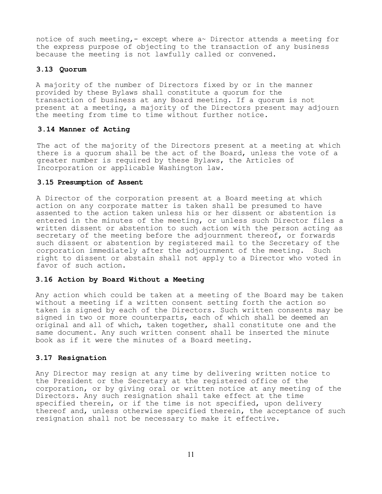notice of such meeting, - except where  $a \sim$  Director attends a meeting for the express purpose of objecting to the transaction of any business because the meeting is not lawfully called or convened.

#### **3.13 Quorum**

A majority of the number of Directors fixed by or in the manner provided by these Bylaws shall constitute a quorum for the transaction of business at any Board meeting. If a quorum is not present at a meeting, a majority of the Directors present may adjourn the meeting from time to time without further notice.

## **3.14 Manner of Acting**

The act of the majority of the Directors present at a meeting at which there is a quorum shall be the act of the Board, unless the vote of a greater number is required by these Bylaws, the Articles of Incorporation or applicable Washington law.

## **3.15 Presumption of Assent**

A Director of the corporation present at a Board meeting at which action on any corporate matter is taken shall be presumed to have assented to the action taken unless his or her dissent or abstention is entered in the minutes of the meeting, or unless such Director files a written dissent or abstention to such action with the person acting as secretary of the meeting before the adjournment thereof, or forwards such dissent or abstention by registered mail to the Secretary of the corporation immediately after the adjournment of the meeting. Such right to dissent or abstain shall not apply to a Director who voted in favor of such action.

## **3.16 Action by Board Without a Meeting**

Any action which could be taken at a meeting of the Board may be taken without a meeting if a written consent setting forth the action so taken is signed by each of the Directors. Such written consents may be signed in two or more counterparts, each of which shall be deemed an original and all of which, taken together, shall constitute one and the same document. Any such written consent shall be inserted the minute book as if it were the minutes of a Board meeting.

## **3.17 Resignation**

Any Director may resign at any time by delivering written notice to the President or the Secretary at the registered office of the corporation, or by giving oral or written notice at any meeting of the Directors. Any such resignation shall take effect at the time specified therein, or if the time is not specified, upon delivery thereof and, unless otherwise specified therein, the acceptance of such resignation shall not be necessary to make it effective.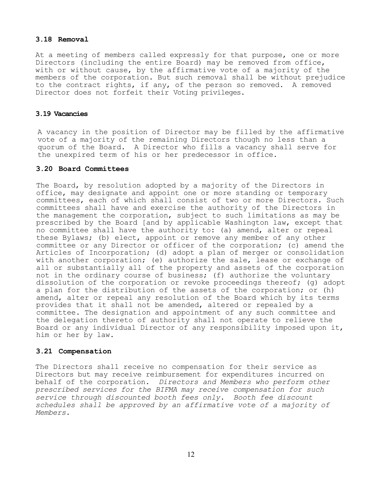## **3.18 Removal**

At a meeting of members called expressly for that purpose, one or more Directors (including the entire Board) may be removed from office, with or without cause, by the affirmative vote of a majority of the members of the corporation. But such removal shall be without prejudice to the contract rights, if any, of the person so removed. A removed Director does not forfeit their Voting privileges.

## **3.19 Vacancies**

A vacancy in the position of Director may be filled by the affirmative vote of a majority of the remaining Directors though no less than a quorum of the Board. A Director who fills a vacancy shall serve for the unexpired term of his or her predecessor in office.

## **3.20 Board Committees**

The Board, by resolution adopted by a majority of the Directors in office, may designate and appoint one or more standing or temporary committees, each of which shall consist of two or more Directors. Such committees shall have and exercise the authority of the Directors in the management the corporation, subject to such limitations as may be prescribed by the Board [and by applicable Washington law, except that no committee shall have the authority to: (a) amend, alter or repeal these Bylaws; (b) elect, appoint or remove any member of any other committee or any Director or officer of the corporation; (c) amend the Articles of Incorporation; (d) adopt a plan of merger or consolidation with another corporation; (e) authorize the sale, lease or exchange of all or substantially all of the property and assets of the corporation not in the ordinary course of business; (f) authorize the voluntary dissolution of the corporation or revoke proceedings thereof; (g) adopt a plan for the distribution of the assets of the corporation; or (h) amend, alter or repeal any resolution of the Board which by its terms provides that it shall not be amended, altered or repealed by a committee. The designation and appointment of any such committee and the delegation thereto of authority shall not operate to relieve the Board or any individual Director of any responsibility imposed upon it, him or her by law.

## **3.21 Compensation**

The Directors shall receive no compensation for their service as Directors but may receive reimbursement for expenditures incurred on behalf of the corporation. *Directors and Members who perform other prescribed services for the BIFMA may receive compensation for such service through discounted booth fees only*. *Booth fee discount schedules shall be approved by an affirmative vote of a majority of Members.*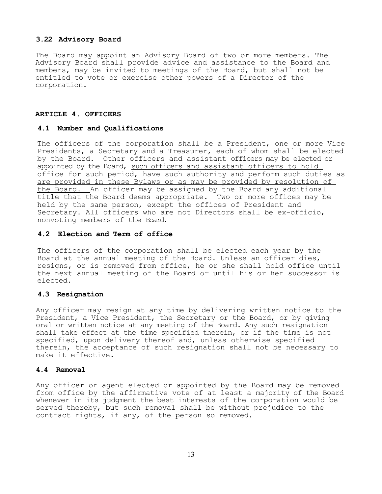## **3.22 Advisory Board**

The Board may appoint an Advisory Board of two or more members. The Advisory Board shall provide advice and assistance to the Board and members, may be invited to meetings of the Board, but shall not be entitled to vote or exercise other powers of a Director of the corporation.

### **ARTICLE 4. OFFICERS**

## **4.1 Number and Qualifications**

The officers of the corporation shall be a President, one or more Vice Presidents, a Secretary and a Treasurer, each of whom shall be elected by the Board. Other officers and assistant officers may be elected or appointed by the Board, such officers and assistant officers to hold office for such period, have such authority and perform such duties as are provided in these Bylaws or as may be provided by resolution of the Board. An officer may be assigned by the Board any additional title that the Board deems appropriate. Two or more offices may be held by the same person, except the offices of President and Secretary. All officers who are not Directors shall be ex-officio, nonvoting members of the Board.

## **4.2 Election and Term of office**

The officers of the corporation shall be elected each year by the Board at the annual meeting of the Board. Unless an officer dies, resigns, or is removed from office, he or she shall hold office until the next annual meeting of the Board or until his or her successor is elected.

## **4.3 Resignation**

Any officer may resign at any time by delivering written notice to the President, a Vice President, the Secretary or the Board, or by giving oral or written notice at any meeting of the Board. Any such resignation shall take effect at the time specified therein, or if the time is not specified, upon delivery thereof and, unless otherwise specified therein, the acceptance of such resignation shall not be necessary to make it effective.

## **4.4 Removal**

Any officer or agent elected or appointed by the Board may be removed from office by the affirmative vote of at least a majority of the Board whenever in its judgment the best interests of the corporation would be served thereby, but such removal shall be without prejudice to the contract rights, if any, of the person so removed.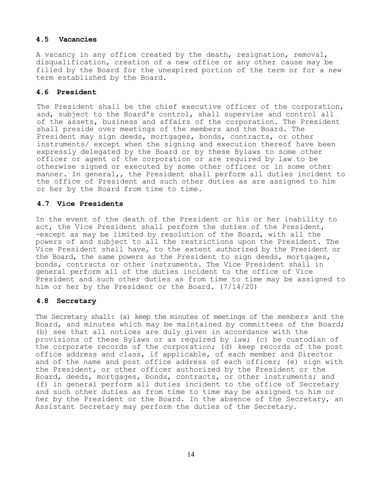## **4.5 Vacancies**

A vacancy in any office created by the death, resignation, removal, disqualification, creation of a new office or any other cause may be filled by the Board for the unexpired portion of the term or for a new term established by the Board.

## **4.6 President**

The President shall be the chief executive officer of the corporation, and, subject to the Board's control, shall supervise and control all of the assets, business and affairs of the corporation. The President shall preside over meetings of the members and the Board. The President may sign deeds, mortgages, bonds, contracts, or other instruments/ except when the signing and execution thereof have been expressly delegated by the Board or by these Bylaws to some other officer or agent of the corporation or are required by law to be otherwise signed or executed by some other officer or in some other manner. In general,, the President shall perform all duties incident to the office of President and such other duties as are assigned to him or her by the Board from time to time.

## **4.7 Vice Presidents**

In the event of the death of the President or his or her inability to act, the Vice President shall perform the duties of the President, -except as may be limited by resolution of the Board, with all the powers of and subject to all the restrictions upon the President. The Vice President shall have, to the extent authorized by the President or the Board, the same powers as the President to sign deeds, mortgages, bonds, contracts or other instruments. The Vice President shall in general perform all of the duties incident to the office of Vice President and such other duties as from time to time may be assigned to him or her by the President or the Board. (7/14/20)

## **4.8 Secretary**

The Secretary shall: (a) keep the minutes of meetings of the members and the Board, and minutes which may be maintained by committees of the Board; (b) see that all notices are duly given in accordance with the provisions of these Bylaws or as required by law; (c) be custodian of the corporate records of the corporation; (d) keep records of the post office address and class, if applicable, of each member and Director and of the name and post office address of each officer; (e) sign with the President, or other officer authorized by the President or the Board, deeds, mortgages, bonds, contracts, or other instruments; and (f) in general perform all duties incident to the office of Secretary and such other duties as from time to time may be assigned to him or her by the President or the Board. In the absence of the Secretary, an Assistant Secretary may perform the duties of the Secretary.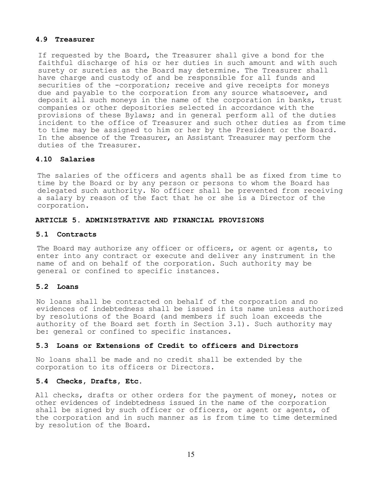## **4.9 Treasurer**

If requested by the Board, the Treasurer shall give a bond for the faithful discharge of his or her duties in such amount and with such surety or sureties as the Board may determine. The Treasurer shall have charge and custody of and be responsible for all funds and securities of the -corporation; receive and give receipts for moneys due and payable to the corporation from any source whatsoever, and deposit all such moneys in the name of the corporation in banks, trust companies or other depositories selected in accordance with the provisions of these Bylaws; and in general perform all of the duties incident to the office of Treasurer and such other duties as from time to time may be assigned to him or her by the President or the Board. In the absence of the Treasurer, an Assistant Treasurer may perform the duties of the Treasurer.

## **4.10 Salaries**

The salaries of the officers and agents shall be as fixed from time to time by the Board or by any person or persons to whom the Board has delegated such authority. No officer shall be prevented from receiving a salary by reason of the fact that he or she is a Director of the corporation.

#### **ARTICLE 5. ADMINISTRATIVE AND FINANCIAL PROVISIONS**

#### **5.1 Contracts**

The Board may authorize any officer or officers, or agent or agents, to enter into any contract or execute and deliver any instrument in the name of and on behalf of the corporation. Such authority may be general or confined to specific instances.

## **5.2 Loans**

No loans shall be contracted on behalf of the corporation and no evidences of indebtedness shall be issued in its name unless authorized by resolutions of the Board (and members if such loan exceeds the authority of the Board set forth in Section 3.1). Such authority may be: general or confined to specific instances.

## **5.3 Loans or Extensions of Credit to officers and Directors**

No loans shall be made and no credit shall be extended by the corporation to its officers or Directors.

## **5.4 Checks, Drafts, Etc.**

All checks, drafts or other orders for the payment of money, notes or other evidences of indebtedness issued in the name of the corporation shall be signed by such officer or officers, or agent or agents, of the corporation and in such manner as is from time to time determined by resolution of the Board.